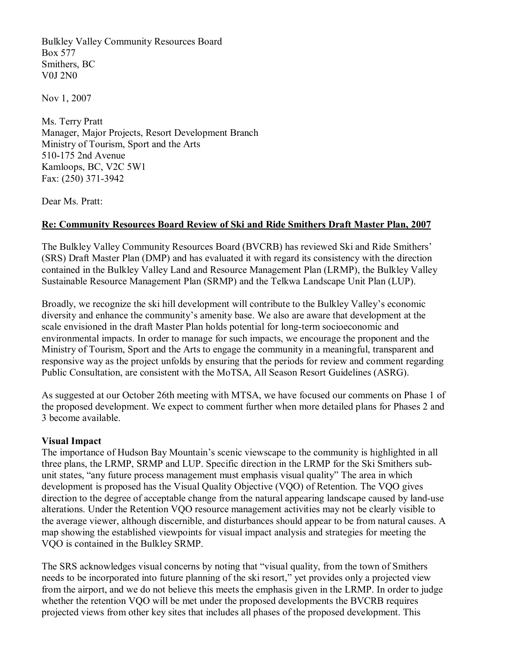Bulkley Valley Community Resources Board Box 577 Smithers, BC V0J 2N0

Nov 1, 2007

Ms. Terry Pratt Manager, Major Projects, Resort Development Branch Ministry of Tourism, Sport and the Arts 510-175 2nd Avenue Kamloops, BC, V2C 5W1 Fax: (250) 371-3942

Dear Ms. Pratt:

#### **Re: Community Resources Board Review of Ski and Ride Smithers Draft Master Plan, 2007**

The Bulkley Valley Community Resources Board (BVCRB) has reviewed Ski and Ride Smithers' (SRS) Draft Master Plan (DMP) and has evaluated it with regard its consistency with the direction contained in the Bulkley Valley Land and Resource Management Plan (LRMP), the Bulkley Valley Sustainable Resource Management Plan (SRMP) and the Telkwa Landscape Unit Plan (LUP).

Broadly, we recognize the ski hill development will contribute to the Bulkley Valley's economic diversity and enhance the community's amenity base. We also are aware that development at the scale envisioned in the draft Master Plan holds potential for long-term socioeconomic and environmental impacts. In order to manage for such impacts, we encourage the proponent and the Ministry of Tourism, Sport and the Arts to engage the community in a meaningful, transparent and responsive way as the project unfolds by ensuring that the periods for review and comment regarding Public Consultation, are consistent with the MoTSA, All Season Resort Guidelines (ASRG).

As suggested at our October 26th meeting with MTSA, we have focused our comments on Phase 1 of the proposed development. We expect to comment further when more detailed plans for Phases 2 and 3 become available.

#### **Visual Impact**

The importance of Hudson Bay Mountain's scenic viewscape to the community is highlighted in all three plans, the LRMP, SRMP and LUP. Specific direction in the LRMP for the Ski Smithers sub unit states, "any future process management must emphasis visual quality" The area in which development is proposed has the Visual Quality Objective (VQO) of Retention. The VQO gives direction to the degree of acceptable change from the natural appearing landscape caused by land-use alterations. Under the Retention VQO resource management activities may not be clearly visible to the average viewer, although discernible, and disturbances should appear to be from natural causes. A map showing the established viewpoints for visual impact analysis and strategies for meeting the VQO is contained in the Bulkley SRMP.

The SRS acknowledges visual concerns by noting that "visual quality, from the town of Smithers needs to be incorporated into future planning of the ski resort," yet provides only a projected view from the airport, and we do not believe this meets the emphasis given in the LRMP. In order to judge whether the retention VQO will be met under the proposed developments the BVCRB requires projected views from other key sites that includes all phases of the proposed development. This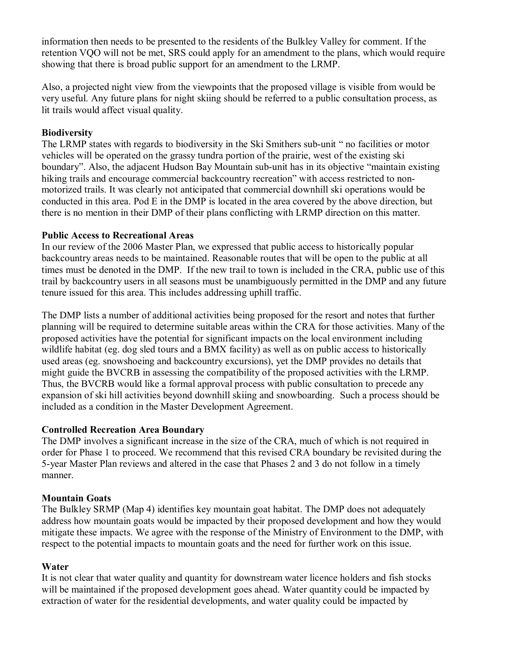information then needs to be presented to the residents of the Bulkley Valley for comment. If the retention VQO will not be met, SRS could apply for an amendment to the plans, which would require showing that there is broad public support for an amendment to the LRMP.

Also, a projected night view from the viewpoints that the proposed village is visible from would be very useful. Any future plans for night skiing should be referred to a public consultation process, as lit trails would affect visual quality.

### **Biodiversity**

The LRMP states with regards to biodiversity in the Ski Smithers sub-unit " no facilities or motor vehicles will be operated on the grassy tundra portion of the prairie, west of the existing ski boundary". Also, the adjacent Hudson Bay Mountain sub-unit has in its objective "maintain existing hiking trails and encourage commercial backcountry recreation" with access restricted to nonmotorized trails. It was clearly not anticipated that commercial downhill ski operations would be conducted in this area. Pod E in the DMP is located in the area covered by the above direction, but there is no mention in their DMP of their plans conflicting with LRMP direction on this matter.

### **Public Access to Recreational Areas**

In our review of the 2006 Master Plan, we expressed that public access to historically popular backcountry areas needs to be maintained. Reasonable routes that will be open to the public at all times must be denoted in the DMP. If the new trail to town is included in the CRA, public use of this trail by backcountry users in all seasons must be unambiguously permitted in the DMP and any future tenure issued for this area. This includes addressing uphill traffic.

The DMP lists a number of additional activities being proposed for the resort and notes that further planning will be required to determine suitable areas within the CRA for those activities. Many of the proposed activities have the potential for significant impacts on the local environment including wildlife habitat (eg. dog sled tours and a BMX facility) as well as on public access to historically used areas (eg. snowshoeing and backcountry excursions), yet the DMP provides no details that might guide the BVCRB in assessing the compatibility of the proposed activities with the LRMP. Thus, the BVCRB would like a formal approval process with public consultation to precede any expansion of ski hill activities beyond downhill skiing and snowboarding. Such a process should be included as a condition in the Master Development Agreement.

# **Controlled Recreation Area Boundary**

The DMP involves a significant increase in the size of the CRA, much of which is not required in order for Phase 1 to proceed. We recommend that this revised CRA boundary be revisited during the 5-year Master Plan reviews and altered in the case that Phases 2 and 3 do not follow in a timely manner.

# **Mountain Goats**

The Bulkley SRMP (Map 4) identifies key mountain goat habitat. The DMP does not adequately address how mountain goats would be impacted by their proposed development and how they would mitigate these impacts. We agree with the response of the Ministry of Environment to the DMP, with respect to the potential impacts to mountain goats and the need for further work on this issue.

# **Water**

It is not clear that water quality and quantity for downstream water licence holders and fish stocks will be maintained if the proposed development goes ahead. Water quantity could be impacted by extraction of water for the residential developments, and water quality could be impacted by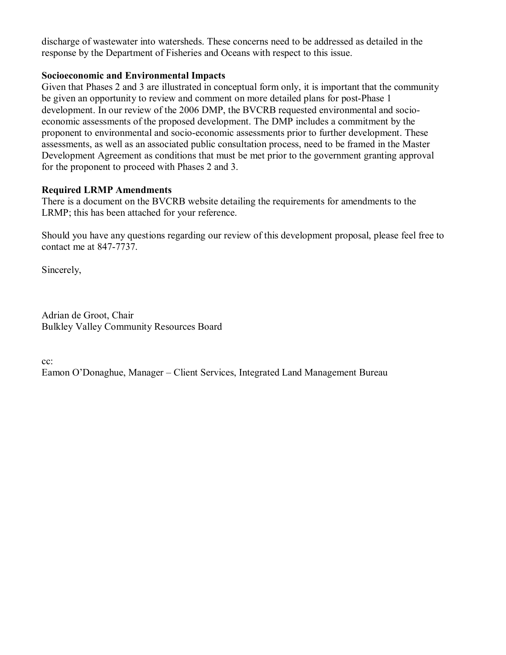discharge of wastewater into watersheds. These concerns need to be addressed as detailed in the response by the Department of Fisheries and Oceans with respect to this issue.

#### **Socioeconomic and Environmental Impacts**

Given that Phases 2 and 3 are illustrated in conceptual form only, it is important that the community be given an opportunity to review and comment on more detailed plans for post-Phase 1 development. In our review of the 2006 DMP, the BVCRB requested environmental and socio economic assessments of the proposed development. The DMP includes a commitment by the proponent to environmental and socio-economic assessments prior to further development. These assessments, as well as an associated public consultation process, need to be framed in the Master Development Agreement as conditions that must be met prior to the government granting approval for the proponent to proceed with Phases 2 and 3.

### **Required LRMP Amendments**

There is a document on the BVCRB website detailing the requirements for amendments to the LRMP; this has been attached for your reference.

Should you have any questions regarding our review of this development proposal, please feel free to contact me at  $847-7737$ .

Sincerely,

Adrian de Groot, Chair Bulkley Valley Community Resources Board

cc:

Eamon O'Donaghue, Manager – Client Services, Integrated Land Management Bureau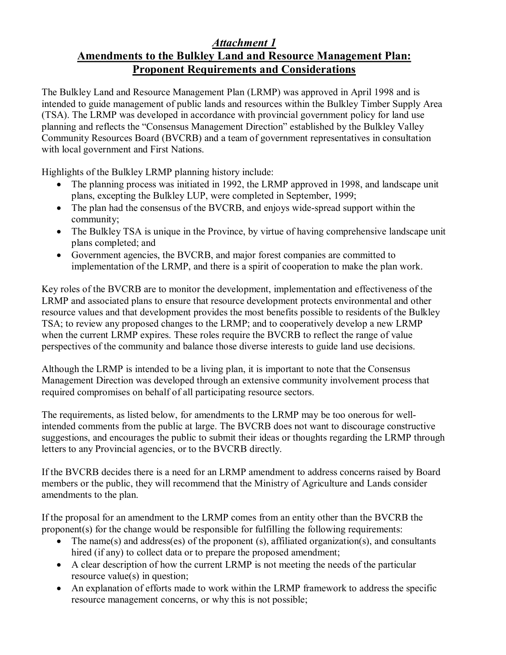# *Attachment 1* **Amendments to the Bulkley Land and Resource Management Plan: Proponent Requirements and Considerations**

The Bulkley Land and Resource Management Plan (LRMP) was approved in April 1998 and is intended to guide management of public lands and resources within the Bulkley Timber Supply Area (TSA). The LRMP was developed in accordance with provincial government policy for land use planning and reflects the "Consensus Management Direction" established by the Bulkley Valley Community Resources Board (BVCRB) and a team of government representatives in consultation with local government and First Nations.

Highlights of the Bulkley LRMP planning history include:

- The planning process was initiated in 1992, the LRMP approved in 1998, and landscape unit plans, excepting the Bulkley LUP, were completed in September, 1999;
- The plan had the consensus of the BVCRB, and enjoys wide-spread support within the community;
- The Bulkley TSA is unique in the Province, by virtue of having comprehensive landscape unit plans completed; and
- · Government agencies, the BVCRB, and major forest companies are committed to implementation of the LRMP, and there is a spirit of cooperation to make the plan work.

Key roles of the BVCRB are to monitor the development, implementation and effectiveness of the LRMP and associated plans to ensure that resource development protects environmental and other resource values and that development provides the most benefits possible to residents of the Bulkley TSA; to review any proposed changes to the LRMP; and to cooperatively develop a new LRMP when the current LRMP expires. These roles require the BVCRB to reflect the range of value perspectives of the community and balance those diverse interests to guide land use decisions.

Although the LRMP is intended to be a living plan, it is important to note that the Consensus Management Direction was developed through an extensive community involvement process that required compromises on behalf of all participating resource sectors.

The requirements, as listed below, for amendments to the LRMP may be too onerous for wellintended comments from the public at large. The BVCRB does not want to discourage constructive suggestions, and encourages the public to submit their ideas or thoughts regarding the LRMP through letters to any Provincial agencies, or to the BVCRB directly.

If the BVCRB decides there is a need for an LRMP amendment to address concerns raised by Board members or the public, they will recommend that the Ministry of Agriculture and Lands consider amendments to the plan.

If the proposal for an amendment to the LRMP comes from an entity other than the BVCRB the proponent(s) for the change would be responsible for fulfilling the following requirements:

- The name(s) and address(es) of the proponent (s), affiliated organization(s), and consultants hired (if any) to collect data or to prepare the proposed amendment;
- · A clear description of how the current LRMP is not meeting the needs of the particular resource value(s) in question;
- An explanation of efforts made to work within the LRMP framework to address the specific resource management concerns, or why this is not possible;